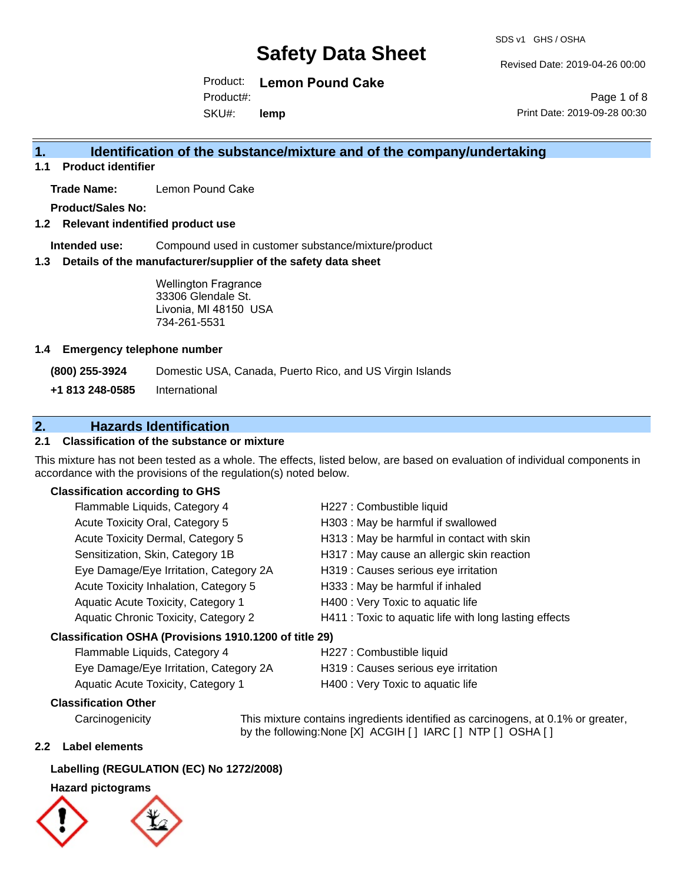SDS v1 GHS / OSHA

Revised Date: 2019-04-26 00:00

Product: **Lemon Pound Cake** SKU#: Product#: **lemp**

Page 1 of 8 Print Date: 2019-09-28 00:30

### **1. Identification of the substance/mixture and of the company/undertaking**

**1.1 Product identifier**

**Trade Name:** Lemon Pound Cake

**Product/Sales No:**

**1.2 Relevant indentified product use**

**Intended use:** Compound used in customer substance/mixture/product

**1.3 Details of the manufacturer/supplier of the safety data sheet**

Wellington Fragrance 33306 Glendale St. Livonia, MI 48150 USA 734-261-5531

#### **1.4 Emergency telephone number**

**(800) 255-3924** Domestic USA, Canada, Puerto Rico, and US Virgin Islands

**+1 813 248-0585** International

### **2. Hazards Identification**

#### **2.1 Classification of the substance or mixture**

This mixture has not been tested as a whole. The effects, listed below, are based on evaluation of individual components in accordance with the provisions of the regulation(s) noted below.

#### **Classification according to GHS**

| Flammable Liquids, Category 4                          | H227 : Combustible liquid                              |  |  |  |
|--------------------------------------------------------|--------------------------------------------------------|--|--|--|
| Acute Toxicity Oral, Category 5                        | H303 : May be harmful if swallowed                     |  |  |  |
| Acute Toxicity Dermal, Category 5                      | H313 : May be harmful in contact with skin             |  |  |  |
| Sensitization, Skin, Category 1B                       | H317 : May cause an allergic skin reaction             |  |  |  |
| Eye Damage/Eye Irritation, Category 2A                 | H319 : Causes serious eye irritation                   |  |  |  |
| Acute Toxicity Inhalation, Category 5                  | H333: May be harmful if inhaled                        |  |  |  |
| Aquatic Acute Toxicity, Category 1                     | H400 : Very Toxic to aquatic life                      |  |  |  |
| Aquatic Chronic Toxicity, Category 2                   | H411 : Toxic to aquatic life with long lasting effects |  |  |  |
| Classification OSHA (Provisions 1910.1200 of title 29) |                                                        |  |  |  |
| Flammable Liquids, Category 4                          | H227 : Combustible liquid                              |  |  |  |

| Eye Damage/Eye Irritation, Category 2A | H319 : Causes serious eye irritation |
|----------------------------------------|--------------------------------------|
| Aquatic Acute Toxicity, Category 1     | H400 : Very Toxic to aquatic life    |

#### **Classification Other**

Carcinogenicity This mixture contains ingredients identified as carcinogens, at 0.1% or greater, by the following:None [X] ACGIH [] IARC [] NTP [] OSHA []

#### **2.2 Label elements**

#### **Labelling (REGULATION (EC) No 1272/2008)**

#### **Hazard pictograms**



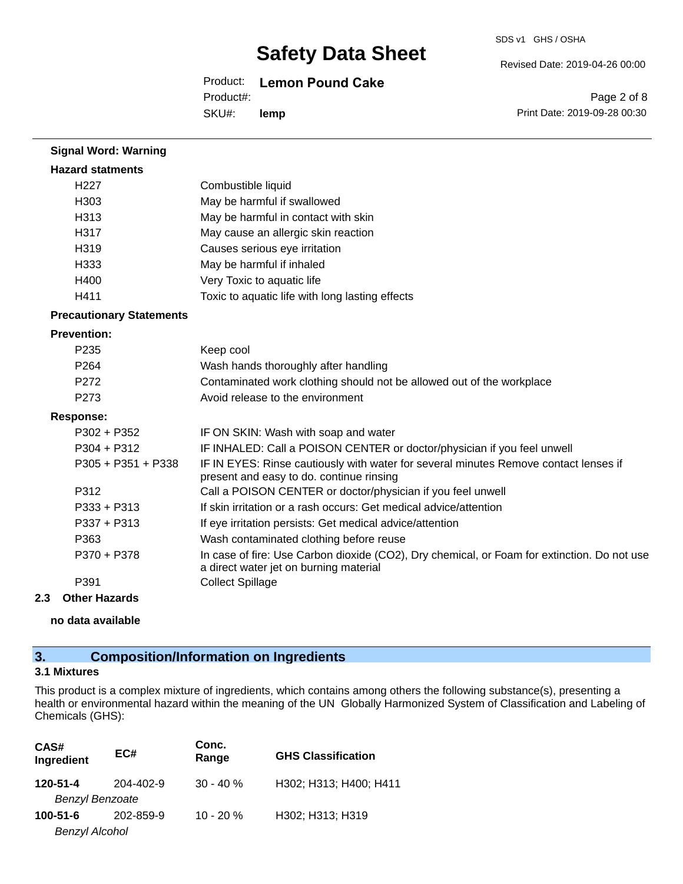#### Revised Date: 2019-04-26 00:00

Product: **Lemon Pound Cake**

Product#:

SKU#: **lemp**

Page 2 of 8 Print Date: 2019-09-28 00:30

| <b>Signal Word: Warning</b>     |                                                                                                                                       |
|---------------------------------|---------------------------------------------------------------------------------------------------------------------------------------|
| <b>Hazard statments</b>         |                                                                                                                                       |
| H <sub>227</sub>                | Combustible liquid                                                                                                                    |
| H303                            | May be harmful if swallowed                                                                                                           |
| H313                            | May be harmful in contact with skin                                                                                                   |
| H317                            | May cause an allergic skin reaction                                                                                                   |
| H319                            | Causes serious eye irritation                                                                                                         |
| H333                            | May be harmful if inhaled                                                                                                             |
| H400                            | Very Toxic to aquatic life                                                                                                            |
| H411                            | Toxic to aquatic life with long lasting effects                                                                                       |
| <b>Precautionary Statements</b> |                                                                                                                                       |
| <b>Prevention:</b>              |                                                                                                                                       |
| P <sub>235</sub>                | Keep cool                                                                                                                             |
| P <sub>264</sub>                | Wash hands thoroughly after handling                                                                                                  |
| P272                            | Contaminated work clothing should not be allowed out of the workplace                                                                 |
| P273                            | Avoid release to the environment                                                                                                      |
| <b>Response:</b>                |                                                                                                                                       |
| $P302 + P352$                   | IF ON SKIN: Wash with soap and water                                                                                                  |
| $P304 + P312$                   | IF INHALED: Call a POISON CENTER or doctor/physician if you feel unwell                                                               |
| $P305 + P351 + P338$            | IF IN EYES: Rinse cautiously with water for several minutes Remove contact lenses if<br>present and easy to do. continue rinsing      |
| P312                            | Call a POISON CENTER or doctor/physician if you feel unwell                                                                           |
| $P333 + P313$                   | If skin irritation or a rash occurs: Get medical advice/attention                                                                     |
| $P337 + P313$                   | If eye irritation persists: Get medical advice/attention                                                                              |
| P363                            | Wash contaminated clothing before reuse                                                                                               |
| P370 + P378                     | In case of fire: Use Carbon dioxide (CO2), Dry chemical, or Foam for extinction. Do not use<br>a direct water jet on burning material |
| P391                            | <b>Collect Spillage</b>                                                                                                               |

#### **2.3 Other Hazards**

**no data available**

### **3. Composition/Information on Ingredients**

### **3.1 Mixtures**

This product is a complex mixture of ingredients, which contains among others the following substance(s), presenting a health or environmental hazard within the meaning of the UN Globally Harmonized System of Classification and Labeling of Chemicals (GHS):

| CAS#<br>Ingredient     | EC#       | Conc.<br>Range | <b>GHS Classification</b> |
|------------------------|-----------|----------------|---------------------------|
| 120-51-4               | 204-402-9 | $30 - 40 \%$   | H302; H313; H400; H411    |
| <b>Benzyl Benzoate</b> |           |                |                           |
| 100-51-6               | 202-859-9 | $10 - 20 \%$   | H302; H313; H319          |
| <b>Benzyl Alcohol</b>  |           |                |                           |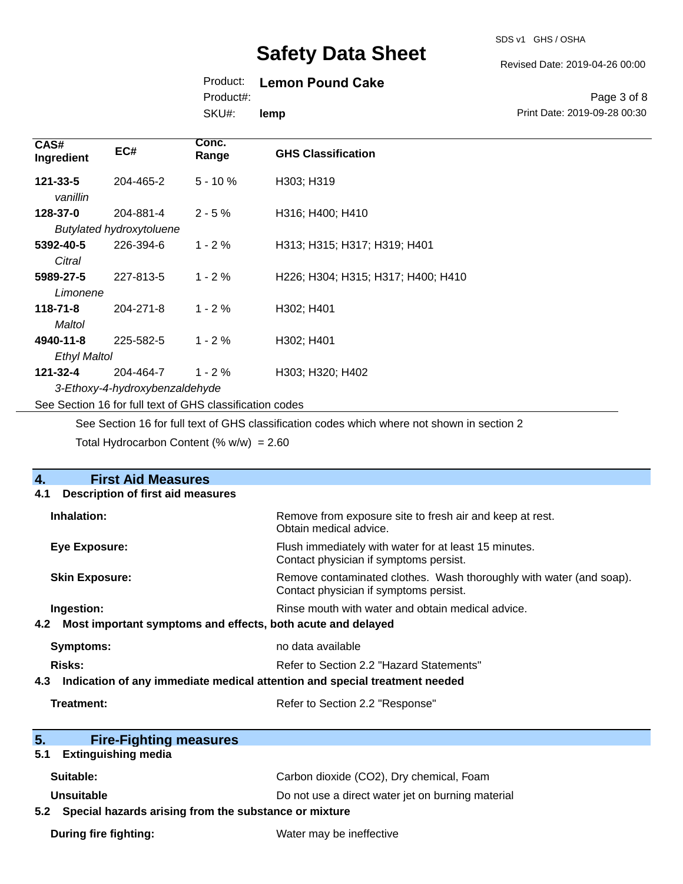SDS v1 GHS / OSHA

#### Revised Date: 2019-04-26 00:00

### Product: **Lemon Pound Cake**

Product#:

SKU#: **lemp**

#### Page 3 of 8 Print Date: 2019-09-28 00:30

| CAS#<br>Ingredient         | EC#                                                      | Conc.<br>Range | <b>GHS Classification</b>          |  |  |
|----------------------------|----------------------------------------------------------|----------------|------------------------------------|--|--|
| $121 - 33 - 5$<br>vanillin | 204-465-2                                                | $5 - 10%$      | H303; H319                         |  |  |
| 128-37-0                   | 204-881-4                                                | $2 - 5%$       | H316; H400; H410                   |  |  |
|                            | <b>Butylated hydroxytoluene</b>                          |                |                                    |  |  |
| 5392-40-5                  | 226-394-6                                                | $1 - 2 \%$     | H313; H315; H317; H319; H401       |  |  |
| Citral                     |                                                          |                |                                    |  |  |
| 5989-27-5                  | 227-813-5                                                | $1 - 2%$       | H226; H304; H315; H317; H400; H410 |  |  |
| Limonene                   |                                                          |                |                                    |  |  |
| $118 - 71 - 8$             | 204-271-8                                                | $1 - 2%$       | H302; H401                         |  |  |
| Maltol                     |                                                          |                |                                    |  |  |
| 4940-11-8                  | 225-582-5                                                | $1 - 2 \%$     | H302; H401                         |  |  |
| <b>Ethyl Maltol</b>        |                                                          |                |                                    |  |  |
| 121-32-4                   | 204-464-7                                                | $1 - 2 \%$     | H303; H320; H402                   |  |  |
|                            | 3-Ethoxy-4-hydroxybenzaldehyde                           |                |                                    |  |  |
|                            | See Section 16 for full text of GHS classification codes |                |                                    |  |  |

See Section 16 for full text of GHS classification codes which where not shown in section 2

Total Hydrocarbon Content  $(\% w/w) = 2.60$ 

| <b>First Aid Measures</b><br>4.                                                   |                                                                                                               |  |  |
|-----------------------------------------------------------------------------------|---------------------------------------------------------------------------------------------------------------|--|--|
| <b>Description of first aid measures</b><br>4.1                                   |                                                                                                               |  |  |
| Inhalation:                                                                       | Remove from exposure site to fresh air and keep at rest.<br>Obtain medical advice.                            |  |  |
| <b>Eye Exposure:</b>                                                              | Flush immediately with water for at least 15 minutes.<br>Contact physician if symptoms persist.               |  |  |
| <b>Skin Exposure:</b>                                                             | Remove contaminated clothes. Wash thoroughly with water (and soap).<br>Contact physician if symptoms persist. |  |  |
| Ingestion:                                                                        | Rinse mouth with water and obtain medical advice.                                                             |  |  |
| 4.2<br>Most important symptoms and effects, both acute and delayed                |                                                                                                               |  |  |
| <b>Symptoms:</b>                                                                  | no data available                                                                                             |  |  |
| Risks:                                                                            | Refer to Section 2.2 "Hazard Statements"                                                                      |  |  |
| Indication of any immediate medical attention and special treatment needed<br>4.3 |                                                                                                               |  |  |
| <b>Treatment:</b>                                                                 | Refer to Section 2.2 "Response"                                                                               |  |  |
|                                                                                   |                                                                                                               |  |  |
| 5 <sub>1</sub><br><b>Fire-Fighting measures</b>                                   |                                                                                                               |  |  |
| <b>Extinguishing media</b><br>5.1                                                 |                                                                                                               |  |  |
| Suitable:                                                                         | Carbon dioxide (CO2), Dry chemical, Foam                                                                      |  |  |
| Unsuitable                                                                        | Do not use a direct water jet on burning material                                                             |  |  |
| 5.2 Special hazards arising from the substance or mixture                         |                                                                                                               |  |  |
| <b>During fire fighting:</b>                                                      | Water may be ineffective                                                                                      |  |  |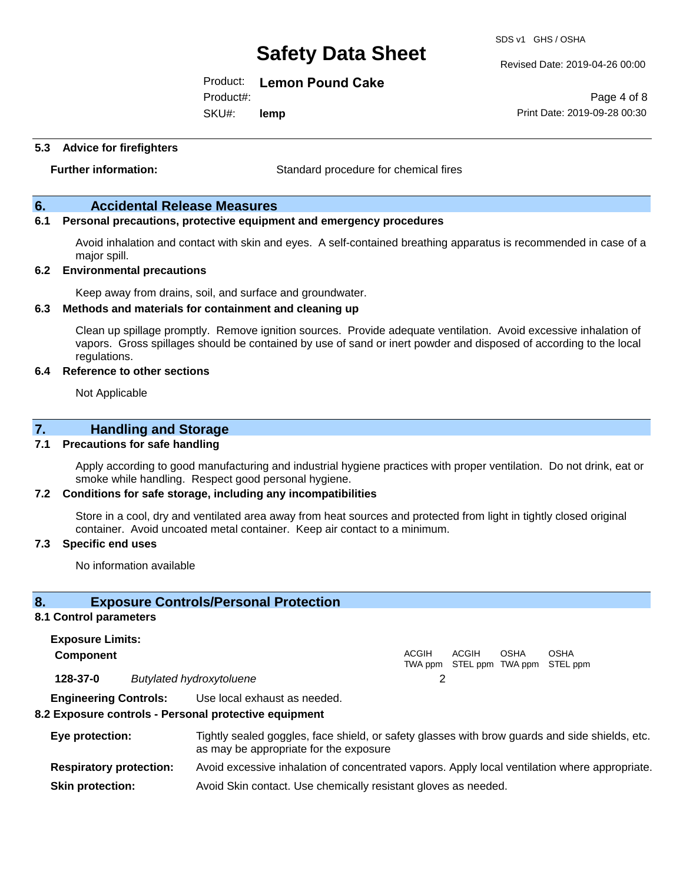SDS v1 GHS / OSHA

Revised Date: 2019-04-26 00:00

Print Date: 2019-09-28 00:30

Page 4 of 8

Product: **Lemon Pound Cake**

Product#:

SKU#: **lemp**

**5.3 Advice for firefighters**

**Further information:** Standard procedure for chemical fires

#### **6. Accidental Release Measures**

#### **6.1 Personal precautions, protective equipment and emergency procedures**

Avoid inhalation and contact with skin and eyes. A self-contained breathing apparatus is recommended in case of a major spill.

#### **6.2 Environmental precautions**

Keep away from drains, soil, and surface and groundwater.

#### **6.3 Methods and materials for containment and cleaning up**

Clean up spillage promptly. Remove ignition sources. Provide adequate ventilation. Avoid excessive inhalation of vapors. Gross spillages should be contained by use of sand or inert powder and disposed of according to the local regulations.

#### **6.4 Reference to other sections**

Not Applicable

#### **7. Handling and Storage**

#### **7.1 Precautions for safe handling**

Apply according to good manufacturing and industrial hygiene practices with proper ventilation. Do not drink, eat or smoke while handling. Respect good personal hygiene.

#### **7.2 Conditions for safe storage, including any incompatibilities**

Store in a cool, dry and ventilated area away from heat sources and protected from light in tightly closed original container. Avoid uncoated metal container. Keep air contact to a minimum.

#### **7.3 Specific end uses**

No information available

#### **8. Exposure Controls/Personal Protection**

#### **8.1 Control parameters**

**Exposure Limits: Component** ACGIH TWA ppm STEL ppm TWA ppm STEL ppm ACGIH OSHA OSHA **128-37-0** *Butylated hydroxytoluene* 2 **Engineering Controls:** Use local exhaust as needed.

## **8.2 Exposure controls - Personal protective equipment**

### **Eye protection:** Tightly sealed goggles, face shield, or safety glasses with brow guards and side shields, etc. as may be appropriate for the exposure

**Respiratory protection:** Avoid excessive inhalation of concentrated vapors. Apply local ventilation where appropriate.

**Skin protection:** Avoid Skin contact. Use chemically resistant gloves as needed.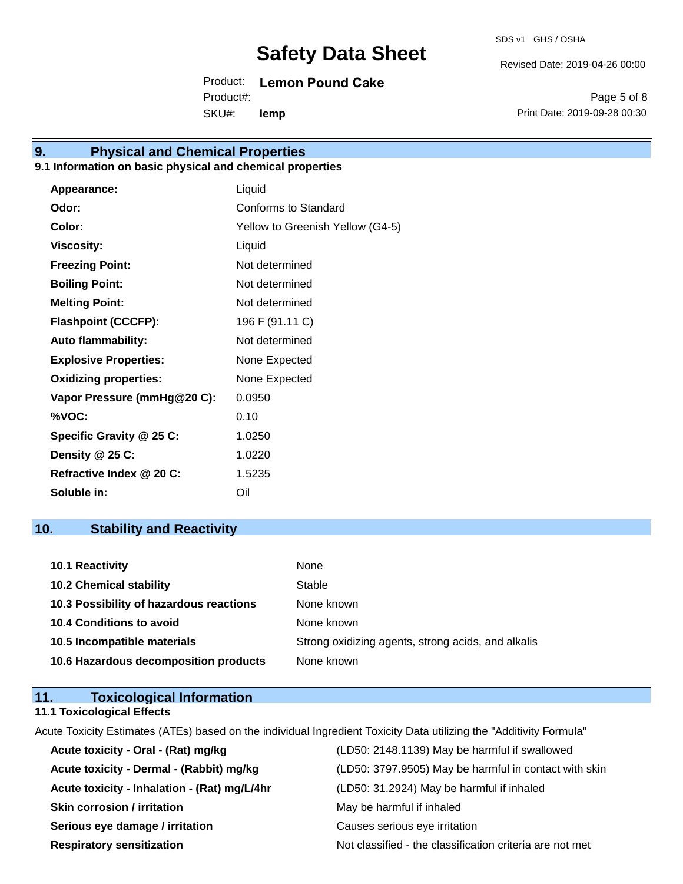Revised Date: 2019-04-26 00:00

Product: **Lemon Pound Cake** SKU#: Product#: **lemp**

Page 5 of 8 Print Date: 2019-09-28 00:30

# **9. Physical and Chemical Properties**

#### **9.1 Information on basic physical and chemical properties**

| Appearance:                  | Liquid                           |
|------------------------------|----------------------------------|
| Odor:                        | Conforms to Standard             |
| Color:                       | Yellow to Greenish Yellow (G4-5) |
| <b>Viscosity:</b>            | Liquid                           |
| <b>Freezing Point:</b>       | Not determined                   |
| <b>Boiling Point:</b>        | Not determined                   |
| <b>Melting Point:</b>        | Not determined                   |
| <b>Flashpoint (CCCFP):</b>   | 196 F (91.11 C)                  |
| <b>Auto flammability:</b>    | Not determined                   |
| <b>Explosive Properties:</b> | None Expected                    |
| <b>Oxidizing properties:</b> | None Expected                    |
| Vapor Pressure (mmHg@20 C):  | 0.0950                           |
| %VOC:                        | 0.10                             |
| Specific Gravity @ 25 C:     | 1.0250                           |
| Density @ 25 C:              | 1.0220                           |
| Refractive Index @ 20 C:     | 1.5235                           |
| Soluble in:                  | Oil                              |

### **10. Stability and Reactivity**

| 10.1 Reactivity                         | None                                               |
|-----------------------------------------|----------------------------------------------------|
| <b>10.2 Chemical stability</b>          | Stable                                             |
| 10.3 Possibility of hazardous reactions | None known                                         |
| <b>10.4 Conditions to avoid</b>         | None known                                         |
| 10.5 Incompatible materials             | Strong oxidizing agents, strong acids, and alkalis |
| 10.6 Hazardous decomposition products   | None known                                         |

#### **11. Toxicological Information 11.1 Toxicological Effects**

Acute Toxicity Estimates (ATEs) based on the individual Ingredient Toxicity Data utilizing the "Additivity Formula"

| Acute toxicity - Oral - (Rat) mg/kg          | (LD50: 2148.1139) May be harmful if swallowed            |
|----------------------------------------------|----------------------------------------------------------|
| Acute toxicity - Dermal - (Rabbit) mg/kg     | (LD50: 3797.9505) May be harmful in contact with skin    |
| Acute toxicity - Inhalation - (Rat) mg/L/4hr | (LD50: 31.2924) May be harmful if inhaled                |
| <b>Skin corrosion / irritation</b>           | May be harmful if inhaled                                |
| Serious eye damage / irritation              | Causes serious eye irritation                            |
| <b>Respiratory sensitization</b>             | Not classified - the classification criteria are not met |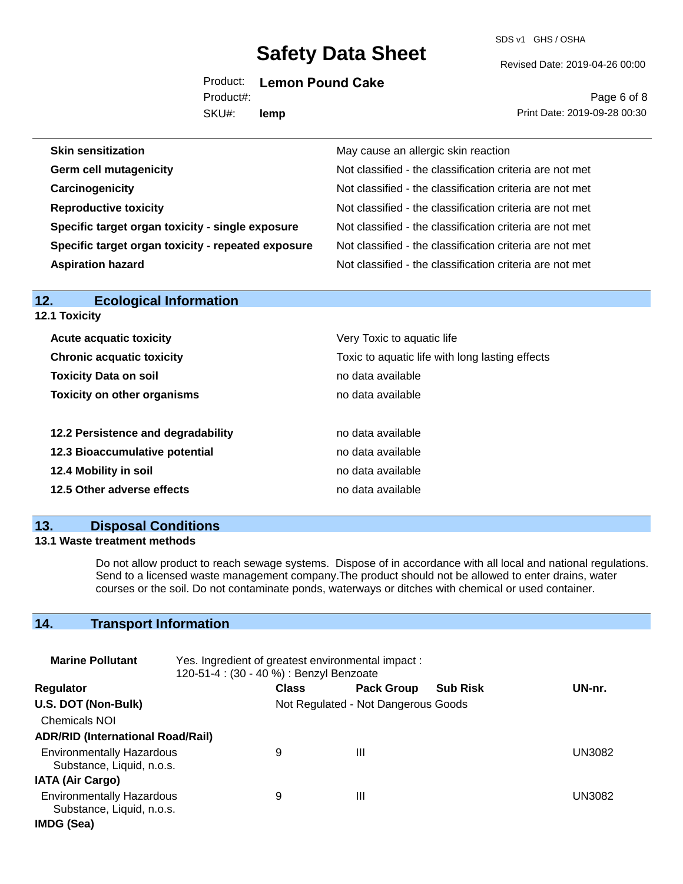SDS v1 GHS / OSHA

Revised Date: 2019-04-26 00:00

Product: **Lemon Pound Cake**

SKU#: Product#: **lemp**

Page 6 of 8 Print Date: 2019-09-28 00:30

| May cause an allergic skin reaction                      |
|----------------------------------------------------------|
| Not classified - the classification criteria are not met |
| Not classified - the classification criteria are not met |
| Not classified - the classification criteria are not met |
| Not classified - the classification criteria are not met |
| Not classified - the classification criteria are not met |
| Not classified - the classification criteria are not met |
|                                                          |

| <b>Ecological Information</b><br>12. |                                                 |  |  |  |
|--------------------------------------|-------------------------------------------------|--|--|--|
| 12.1 Toxicity                        |                                                 |  |  |  |
| <b>Acute acquatic toxicity</b>       | Very Toxic to aquatic life                      |  |  |  |
| <b>Chronic acquatic toxicity</b>     | Toxic to aquatic life with long lasting effects |  |  |  |
| <b>Toxicity Data on soil</b>         | no data available                               |  |  |  |
| <b>Toxicity on other organisms</b>   | no data available                               |  |  |  |
|                                      |                                                 |  |  |  |
| 12.2 Persistence and degradability   | no data available                               |  |  |  |
| 12.3 Bioaccumulative potential       | no data available                               |  |  |  |
| 12.4 Mobility in soil                | no data available                               |  |  |  |
| 12.5 Other adverse effects           | no data available                               |  |  |  |
|                                      |                                                 |  |  |  |

### **13. Disposal Conditions**

#### **13.1 Waste treatment methods**

Do not allow product to reach sewage systems. Dispose of in accordance with all local and national regulations. Send to a licensed waste management company.The product should not be allowed to enter drains, water courses or the soil. Do not contaminate ponds, waterways or ditches with chemical or used container.

### **14. Transport Information**

| <b>Marine Pollutant</b><br>Yes. Ingredient of greatest environmental impact:<br>120-51-4 : (30 - 40 %) : Benzyl Benzoate |  |              |                                     |                 |               |
|--------------------------------------------------------------------------------------------------------------------------|--|--------------|-------------------------------------|-----------------|---------------|
| <b>Regulator</b>                                                                                                         |  | <b>Class</b> | <b>Pack Group</b>                   | <b>Sub Risk</b> | UN-nr.        |
| U.S. DOT (Non-Bulk)                                                                                                      |  |              | Not Regulated - Not Dangerous Goods |                 |               |
| <b>Chemicals NOI</b>                                                                                                     |  |              |                                     |                 |               |
| <b>ADR/RID (International Road/Rail)</b>                                                                                 |  |              |                                     |                 |               |
| <b>Environmentally Hazardous</b><br>Substance, Liquid, n.o.s.                                                            |  | 9            | Ш                                   |                 | <b>UN3082</b> |
| <b>IATA (Air Cargo)</b>                                                                                                  |  |              |                                     |                 |               |
| <b>Environmentally Hazardous</b><br>Substance, Liquid, n.o.s.                                                            |  | 9            | Ш                                   |                 | UN3082        |
| IMDG (Sea)                                                                                                               |  |              |                                     |                 |               |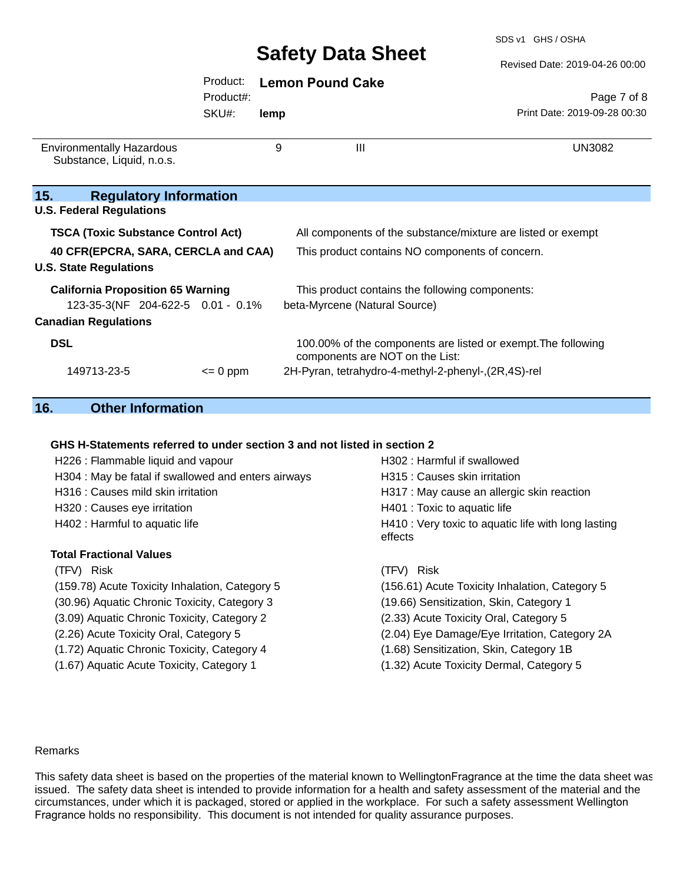Product: **Lemon Pound Cake**

SDS v1 GHS / OSHA

|                                                                         | Product#: |      |                                                                                                  | Page 7 of 8                  |  |
|-------------------------------------------------------------------------|-----------|------|--------------------------------------------------------------------------------------------------|------------------------------|--|
|                                                                         | SKU#:     | lemp |                                                                                                  | Print Date: 2019-09-28 00:30 |  |
| <b>Environmentally Hazardous</b><br>Substance, Liquid, n.o.s.           |           | 9    | $\mathbf{III}$                                                                                   | <b>UN3082</b>                |  |
| 15.<br><b>Regulatory Information</b><br><b>U.S. Federal Regulations</b> |           |      |                                                                                                  |                              |  |
| <b>TSCA (Toxic Substance Control Act)</b>                               |           |      | All components of the substance/mixture are listed or exempt                                     |                              |  |
| 40 CFR(EPCRA, SARA, CERCLA and CAA)<br><b>U.S. State Regulations</b>    |           |      | This product contains NO components of concern.                                                  |                              |  |
| <b>California Proposition 65 Warning</b>                                |           |      | This product contains the following components:                                                  |                              |  |
| 123-35-3(NF 204-622-5 0.01 - 0.1%                                       |           |      | beta-Myrcene (Natural Source)                                                                    |                              |  |
| <b>Canadian Regulations</b>                                             |           |      |                                                                                                  |                              |  |
| <b>DSL</b>                                                              |           |      | 100.00% of the components are listed or exempt. The following<br>components are NOT on the List: |                              |  |
| 149713-23-5                                                             | $= 0$ ppm |      | 2H-Pyran, tetrahydro-4-methyl-2-phenyl-, (2R, 4S)-rel                                            |                              |  |

### **16. Other Information**

#### **GHS H-Statements referred to under section 3 and not listed in section 2**

| H226 : Flammable liquid and vapour                  | H302 : Harmful if swallowed                                    |  |
|-----------------------------------------------------|----------------------------------------------------------------|--|
| H304 : May be fatal if swallowed and enters airways | H315 : Causes skin irritation                                  |  |
| H316 : Causes mild skin irritation                  | H317 : May cause an allergic skin reaction                     |  |
| H320 : Causes eye irritation                        | H401 : Toxic to aquatic life                                   |  |
| H402 : Harmful to aquatic life                      | H410 : Very toxic to aquatic life with long lasting<br>effects |  |
| <b>Total Fractional Values</b>                      |                                                                |  |
| (TFV) Risk                                          | (TFV) Risk                                                     |  |
| (159.78) Acute Toxicity Inhalation, Category 5      | (156.61) Acute Toxicity Inhalation, Category 5                 |  |
| (30.96) Aquatic Chronic Toxicity, Category 3        | (19.66) Sensitization, Skin, Category 1                        |  |
| (3.09) Aquatic Chronic Toxicity, Category 2         | (2.33) Acute Toxicity Oral, Category 5                         |  |
| (2.26) Acute Toxicity Oral, Category 5              | (2.04) Eye Damage/Eye Irritation, Category 2A                  |  |
| (1.72) Aquatic Chronic Toxicity, Category 4         | (1.68) Sensitization, Skin, Category 1B                        |  |
| (1.67) Aquatic Acute Toxicity, Category 1           | (1.32) Acute Toxicity Dermal, Category 5                       |  |
|                                                     |                                                                |  |

#### Remarks

This safety data sheet is based on the properties of the material known to WellingtonFragrance at the time the data sheet was issued. The safety data sheet is intended to provide information for a health and safety assessment of the material and the circumstances, under which it is packaged, stored or applied in the workplace. For such a safety assessment Wellington Fragrance holds no responsibility. This document is not intended for quality assurance purposes.

Revised Date: 2019-04-26 00:00